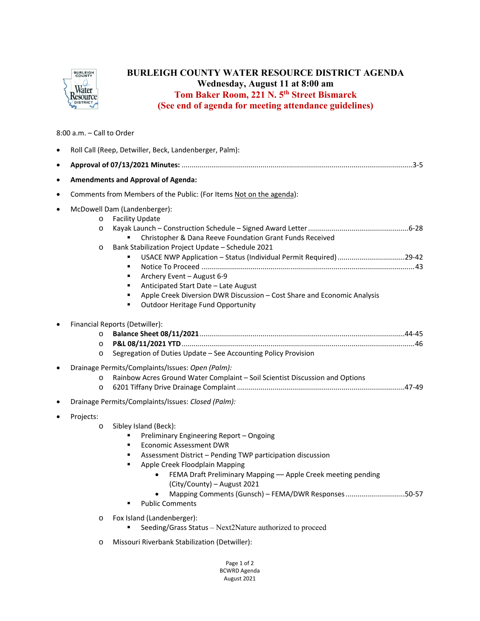

## **BURLEIGH COUNTY WATER RESOURCE DISTRICT AGENDA Wednesday, August 11 at 8:00 am Tom Baker Room, 221 N. 5th Street Bismarck (See end of agenda for meeting attendance guidelines)**

## 8:00 a.m. – Call to Order

| $\bullet$ | Roll Call (Reep, Detwiller, Beck, Landenberger, Palm):                                                                                                                                                                                                                                                                                                                                                                                                                                              |
|-----------|-----------------------------------------------------------------------------------------------------------------------------------------------------------------------------------------------------------------------------------------------------------------------------------------------------------------------------------------------------------------------------------------------------------------------------------------------------------------------------------------------------|
| $\bullet$ |                                                                                                                                                                                                                                                                                                                                                                                                                                                                                                     |
| $\bullet$ | <b>Amendments and Approval of Agenda:</b>                                                                                                                                                                                                                                                                                                                                                                                                                                                           |
| $\bullet$ | Comments from Members of the Public: (For Items Not on the agenda):                                                                                                                                                                                                                                                                                                                                                                                                                                 |
|           | McDowell Dam (Landenberger):<br><b>Facility Update</b><br>$\circ$<br>$\circ$<br>Christopher & Dana Reeve Foundation Grant Funds Received<br>Bank Stabilization Project Update - Schedule 2021<br>$\circ$<br>USACE NWP Application - Status (Individual Permit Required) 29-42<br>٠<br>Archery Event - August 6-9<br>٠<br>Anticipated Start Date - Late August<br>٠<br>Apple Creek Diversion DWR Discussion - Cost Share and Economic Analysis<br>٠<br><b>Outdoor Heritage Fund Opportunity</b><br>٠ |
| $\bullet$ | Financial Reports (Detwiller):<br>$\circ$<br>$\circ$<br>Segregation of Duties Update - See Accounting Policy Provision<br>$\circ$<br>Drainage Permits/Complaints/Issues: Open (Palm):                                                                                                                                                                                                                                                                                                               |
|           | Rainbow Acres Ground Water Complaint - Soil Scientist Discussion and Options<br>$\circ$<br>$\circ$                                                                                                                                                                                                                                                                                                                                                                                                  |
|           | Drainage Permits/Complaints/Issues: Closed (Palm):                                                                                                                                                                                                                                                                                                                                                                                                                                                  |
|           | Projects:<br>Sibley Island (Beck):<br>$\circ$<br>Preliminary Engineering Report - Ongoing<br><b>Economic Assessment DWR</b><br>٠<br>Assessment District - Pending TWP participation discussion<br>٠<br>Apple Creek Floodplain Mapping<br>٠<br>FEMA Draft Preliminary Mapping - Apple Creek meeting pending<br>$\bullet$<br>(City/County) - August 2021<br>Mapping Comments (Gunsch) - FEMA/DWR Responses50-57<br><b>Public Comments</b>                                                             |
|           | Fox Island (Landenberger):<br>$\circ$<br>Seeding/Grass Status - Next2Nature authorized to proceed                                                                                                                                                                                                                                                                                                                                                                                                   |

o Missouri Riverbank Stabilization (Detwiller):